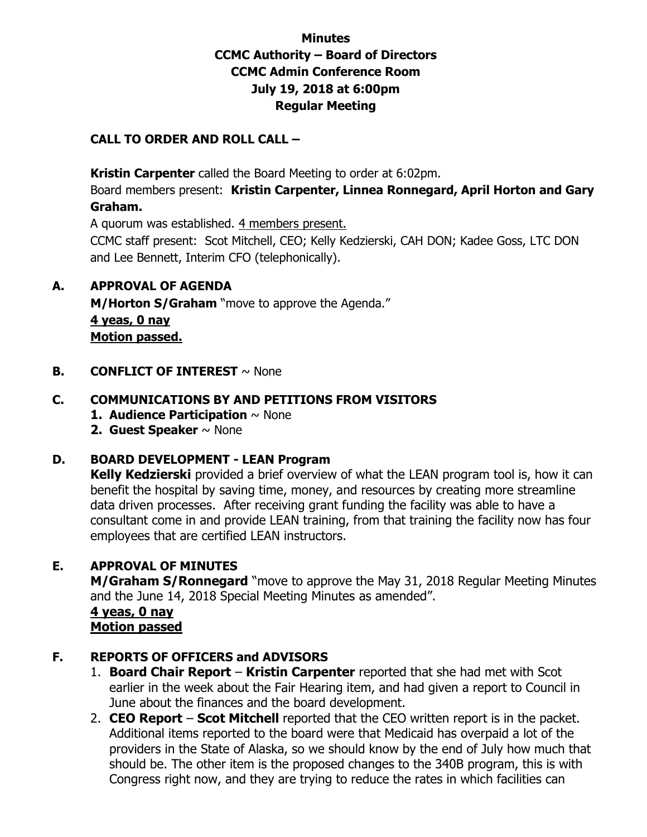### **Minutes CCMC Authority – Board of Directors CCMC Admin Conference Room July 19, 2018 at 6:00pm Regular Meeting**

### **CALL TO ORDER AND ROLL CALL –**

 **Kristin Carpenter** called the Board Meeting to order at 6:02pm.

Board members present: **Kristin Carpenter, Linnea Ronnegard, April Horton and Gary Graham.** 

A quorum was established. 4 members present.

CCMC staff present: Scot Mitchell, CEO; Kelly Kedzierski, CAH DON; Kadee Goss, LTC DON and Lee Bennett, Interim CFO (telephonically).

### **A. APPROVAL OF AGENDA**

**M/Horton S/Graham** "move to approve the Agenda." **4 yeas, 0 nay Motion passed.** 

**B. CONFLICT OF INTEREST**  $\sim$  None

### **C. COMMUNICATIONS BY AND PETITIONS FROM VISITORS**

- **1. Audience Participation** ~ None
- **2. Guest Speaker** ~ None

### **D. BOARD DEVELOPMENT - LEAN Program**

**Kelly Kedzierski** provided a brief overview of what the LEAN program tool is, how it can benefit the hospital by saving time, money, and resources by creating more streamline data driven processes. After receiving grant funding the facility was able to have a consultant come in and provide LEAN training, from that training the facility now has four employees that are certified LEAN instructors.

### **E. APPROVAL OF MINUTES**

**M/Graham S/Ronnegard** "move to approve the May 31, 2018 Regular Meeting Minutes and the June 14, 2018 Special Meeting Minutes as amended".

 **4 yeas, 0 nay Motion passed**

### **F. REPORTS OF OFFICERS and ADVISORS**

- 1. **Board Chair Report Kristin Carpenter** reported that she had met with Scot earlier in the week about the Fair Hearing item, and had given a report to Council in June about the finances and the board development.
- 2. **CEO Report Scot Mitchell** reported that the CEO written report is in the packet. Additional items reported to the board were that Medicaid has overpaid a lot of the providers in the State of Alaska, so we should know by the end of July how much that should be. The other item is the proposed changes to the 340B program, this is with Congress right now, and they are trying to reduce the rates in which facilities can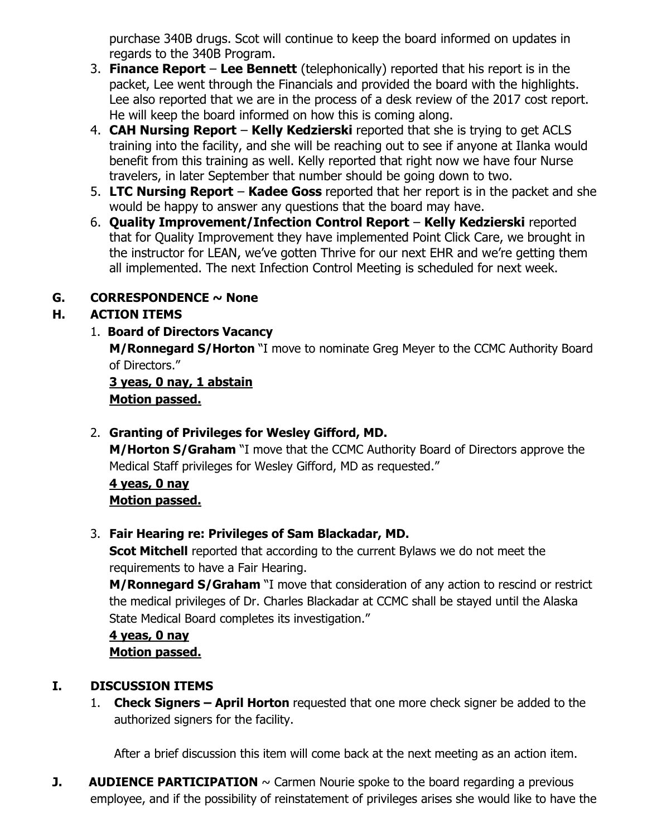purchase 340B drugs. Scot will continue to keep the board informed on updates in regards to the 340B Program.

- 3. **Finance Report Lee Bennett** (telephonically) reported that his report is in the packet, Lee went through the Financials and provided the board with the highlights. Lee also reported that we are in the process of a desk review of the 2017 cost report. He will keep the board informed on how this is coming along.
- 4. **CAH Nursing Report Kelly Kedzierski** reported that she is trying to get ACLS training into the facility, and she will be reaching out to see if anyone at Ilanka would benefit from this training as well. Kelly reported that right now we have four Nurse travelers, in later September that number should be going down to two.
- 5. **LTC Nursing Report Kadee Goss** reported that her report is in the packet and she would be happy to answer any questions that the board may have.
- 6. **Quality Improvement/Infection Control Report Kelly Kedzierski** reported that for Quality Improvement they have implemented Point Click Care, we brought in the instructor for LEAN, we've gotten Thrive for our next EHR and we're getting them all implemented. The next Infection Control Meeting is scheduled for next week.

# **G. CORRESPONDENCE ~ None**

# **H. ACTION ITEMS**

1. **Board of Directors Vacancy** 

**M/Ronnegard S/Horton** "I move to nominate Greg Meyer to the CCMC Authority Board of Directors."

### **3 yeas, 0 nay, 1 abstain Motion passed.**

# 2. **Granting of Privileges for Wesley Gifford, MD.**

**M/Horton S/Graham** "I move that the CCMC Authority Board of Directors approve the Medical Staff privileges for Wesley Gifford, MD as requested."

**4 yeas, 0 nay Motion passed.** 

# 3. **Fair Hearing re: Privileges of Sam Blackadar, MD.**

**Scot Mitchell** reported that according to the current Bylaws we do not meet the requirements to have a Fair Hearing.

**M/Ronnegard S/Graham** "I move that consideration of any action to rescind or restrict the medical privileges of Dr. Charles Blackadar at CCMC shall be stayed until the Alaska State Medical Board completes its investigation."

**4 yeas, 0 nay Motion passed.** 

# **I. DISCUSSION ITEMS**

1. **Check Signers – April Horton** requested that one more check signer be added to the authorized signers for the facility.

After a brief discussion this item will come back at the next meeting as an action item.

**J. AUDIENCE PARTICIPATION**  $\sim$  Carmen Nourie spoke to the board regarding a previous employee, and if the possibility of reinstatement of privileges arises she would like to have the